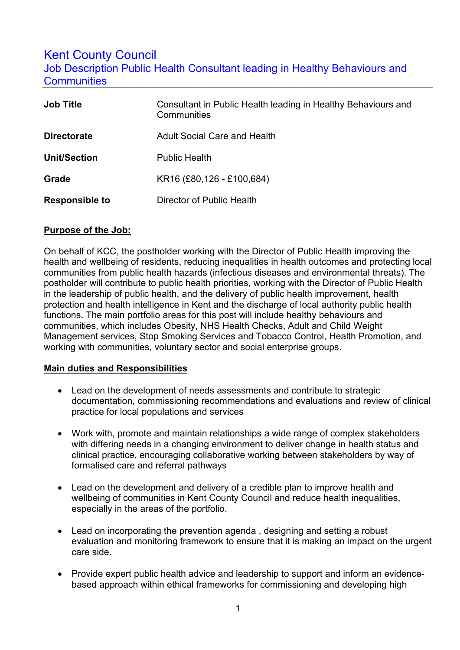# **Kent County Council**

Job Description Public Health Consultant leading in Healthy Behaviours and **Communities** 

| <b>Job Title</b>      | Consultant in Public Health leading in Healthy Behaviours and<br>Communities |
|-----------------------|------------------------------------------------------------------------------|
| <b>Directorate</b>    | <b>Adult Social Care and Health</b>                                          |
| <b>Unit/Section</b>   | <b>Public Health</b>                                                         |
| Grade                 | KR16 (£80,126 - £100,684)                                                    |
| <b>Responsible to</b> | Director of Public Health                                                    |

# **Purpose of the Job:**

On behalf of KCC, the postholder working with the Director of Public Health improving the health and wellbeing of residents, reducing inequalities in health outcomes and protecting local communities from public health hazards (infectious diseases and environmental threats). The postholder will contribute to public health priorities, working with the Director of Public Health in the leadership of public health, and the delivery of public health improvement, health protection and health intelligence in Kent and the discharge of local authority public health functions. The main portfolio areas for this post will include healthy behaviours and communities, which includes Obesity, NHS Health Checks, Adult and Child Weight Management services, Stop Smoking Services and Tobacco Control, Health Promotion, and working with communities, voluntary sector and social enterprise groups.

# **Main duties and Responsibilities**

- Lead on the development of needs assessments and contribute to strategic documentation, commissioning recommendations and evaluations and review of clinical practice for local populations and services
- Work with, promote and maintain relationships a wide range of complex stakeholders with differing needs in a changing environment to deliver change in health status and clinical practice, encouraging collaborative working between stakeholders by way of formalised care and referral pathways
- Lead on the development and delivery of a credible plan to improve health and wellbeing of communities in Kent County Council and reduce health inequalities, especially in the areas of the portfolio.
- Lead on incorporating the prevention agenda , designing and setting a robust evaluation and monitoring framework to ensure that it is making an impact on the urgent care side.
- Provide expert public health advice and leadership to support and inform an evidencebased approach within ethical frameworks for commissioning and developing high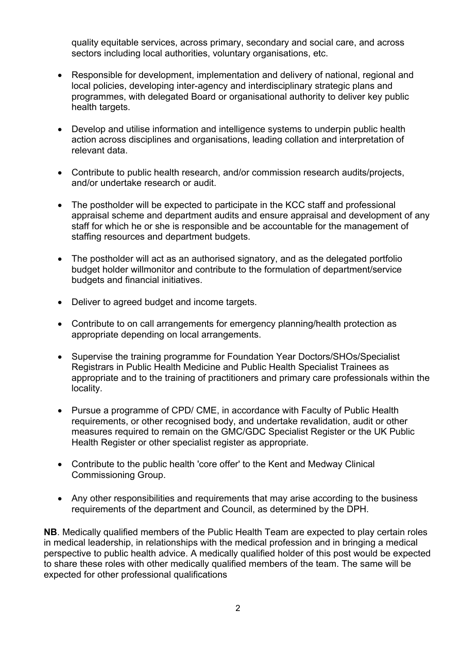sectors including local authorities, voluntary organisations, etc. quality equitable services, across primary, secondary and social care, and across

- Responsible for development, implementation and delivery of national, regional and local policies, developing inter-agency and interdisciplinary strategic plans and programmes, with delegated Board or organisational authority to deliver key public health targets.
- Develop and utilise information and intelligence systems to underpin public health action across disciplines and organisations, leading collation and interpretation of relevant data.
- Contribute to public health research, and/or commission research audits/projects, and/or undertake research or audit.
- The postholder will be expected to participate in the KCC staff and professional appraisal scheme and department audits and ensure appraisal and development of any staff for which he or she is responsible and be accountable for the management of staffing resources and department budgets.
- The postholder will act as an authorised signatory, and as the delegated portfolio budget holder willmonitor and contribute to the formulation of department/service budgets and financial initiatives.
- Deliver to agreed budget and income targets.
- Contribute to on call arrangements for emergency planning/health protection as appropriate depending on local arrangements.
- Supervise the training programme for Foundation Year Doctors/SHOs/Specialist Registrars in Public Health Medicine and Public Health Specialist Trainees as appropriate and to the training of practitioners and primary care professionals within the locality.
- Pursue a programme of CPD/ CME, in accordance with Faculty of Public Health requirements, or other recognised body, and undertake revalidation, audit or other measures required to remain on the GMC/GDC Specialist Register or the UK Public Health Register or other specialist register as appropriate.
- Contribute to the public health 'core offer' to the Kent and Medway Clinical Commissioning Group.
- Any other responsibilities and requirements that may arise according to the business requirements of the department and Council, as determined by the DPH.

**NB**. Medically qualified members of the Public Health Team are expected to play certain roles in medical leadership, in relationships with the medical profession and in bringing a medical perspective to public health advice. A medically qualified holder of this post would be expected to share these roles with other medically qualified members of the team. The same will be expected for other professional qualifications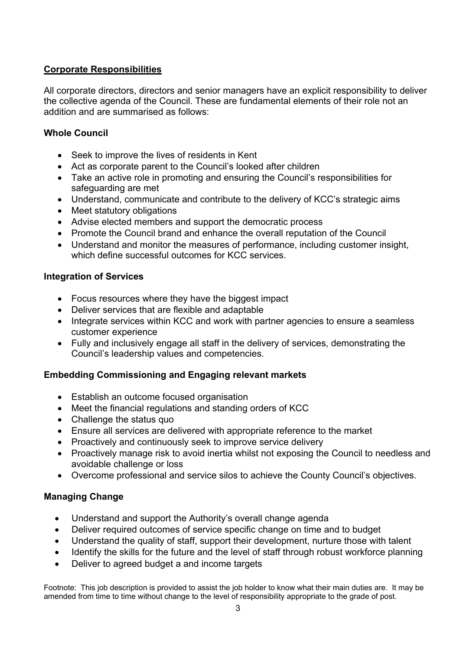# **Corporate Responsibilities**

All corporate directors, directors and senior managers have an explicit responsibility to deliver the collective agenda of the Council. These are fundamental elements of their role not an addition and are summarised as follows:

# **Whole Council**

- Seek to improve the lives of residents in Kent
- Act as corporate parent to the Council's looked after children
- Take an active role in promoting and ensuring the Council's responsibilities for safeguarding are met
- Understand, communicate and contribute to the delivery of KCC's strategic aims
- Meet statutory obligations
- Advise elected members and support the democratic process
- Promote the Council brand and enhance the overall reputation of the Council
- Understand and monitor the measures of performance, including customer insight, which define successful outcomes for KCC services.

### **Integration of Services**

- Focus resources where they have the biggest impact
- Deliver services that are flexible and adaptable
- Integrate services within KCC and work with partner agencies to ensure a seamless customer experience
- Fully and inclusively engage all staff in the delivery of services, demonstrating the Council's leadership values and competencies.

# **Embedding Commissioning and Engaging relevant markets**

- Establish an outcome focused organisation
- Meet the financial regulations and standing orders of KCC
- Challenge the status quo
- Ensure all services are delivered with appropriate reference to the market
- Proactively and continuously seek to improve service delivery
- Proactively manage risk to avoid inertia whilst not exposing the Council to needless and avoidable challenge or loss
- Overcome professional and service silos to achieve the County Council's objectives.

# **Managing Change**

- Understand and support the Authority's overall change agenda
- Deliver required outcomes of service specific change on time and to budget
- Understand the quality of staff, support their development, nurture those with talent
- Identify the skills for the future and the level of staff through robust workforce planning
- Deliver to agreed budget a and income targets

Footnote: This job description is provided to assist the job holder to know what their main duties are. It may be amended from time to time without change to the level of responsibility appropriate to the grade of post.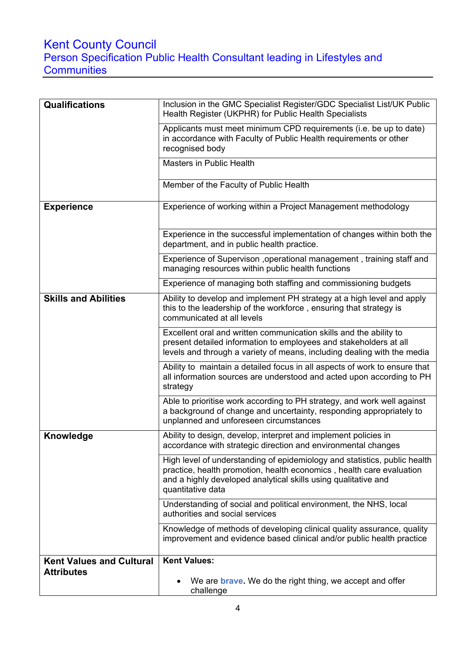#### Person Specifica Kent County Council Person Specification Public Health Consultant leading in Lifestyles and **Communities**

| <b>Qualifications</b>           | Inclusion in the GMC Specialist Register/GDC Specialist List/UK Public<br>Health Register (UKPHR) for Public Health Specialists                                                                                                          |
|---------------------------------|------------------------------------------------------------------------------------------------------------------------------------------------------------------------------------------------------------------------------------------|
|                                 | Applicants must meet minimum CPD requirements (i.e. be up to date)<br>in accordance with Faculty of Public Health requirements or other<br>recognised body                                                                               |
|                                 | <b>Masters in Public Health</b>                                                                                                                                                                                                          |
|                                 | Member of the Faculty of Public Health                                                                                                                                                                                                   |
| <b>Experience</b>               | Experience of working within a Project Management methodology                                                                                                                                                                            |
|                                 | Experience in the successful implementation of changes within both the<br>department, and in public health practice.                                                                                                                     |
|                                 | Experience of Supervison, operational management, training staff and<br>managing resources within public health functions                                                                                                                |
|                                 | Experience of managing both staffing and commissioning budgets                                                                                                                                                                           |
| <b>Skills and Abilities</b>     | Ability to develop and implement PH strategy at a high level and apply<br>this to the leadership of the workforce, ensuring that strategy is<br>communicated at all levels                                                               |
|                                 | Excellent oral and written communication skills and the ability to<br>present detailed information to employees and stakeholders at all<br>levels and through a variety of means, including dealing with the media                       |
|                                 | Ability to maintain a detailed focus in all aspects of work to ensure that<br>all information sources are understood and acted upon according to PH<br>strategy                                                                          |
|                                 | Able to prioritise work according to PH strategy, and work well against<br>a background of change and uncertainty, responding appropriately to<br>unplanned and unforeseen circumstances                                                 |
| Knowledge                       | Ability to design, develop, interpret and implement policies in<br>accordance with strategic direction and environmental changes                                                                                                         |
|                                 | High level of understanding of epidemiology and statistics, public health<br>practice, health promotion, health economics, health care evaluation<br>and a highly developed analytical skills using qualitative and<br>quantitative data |
|                                 | Understanding of social and political environment, the NHS, local<br>authorities and social services                                                                                                                                     |
|                                 | Knowledge of methods of developing clinical quality assurance, quality<br>improvement and evidence based clinical and/or public health practice                                                                                          |
| <b>Kent Values and Cultural</b> | <b>Kent Values:</b>                                                                                                                                                                                                                      |
| <b>Attributes</b>               | We are <b>brave.</b> We do the right thing, we accept and offer<br>challenge                                                                                                                                                             |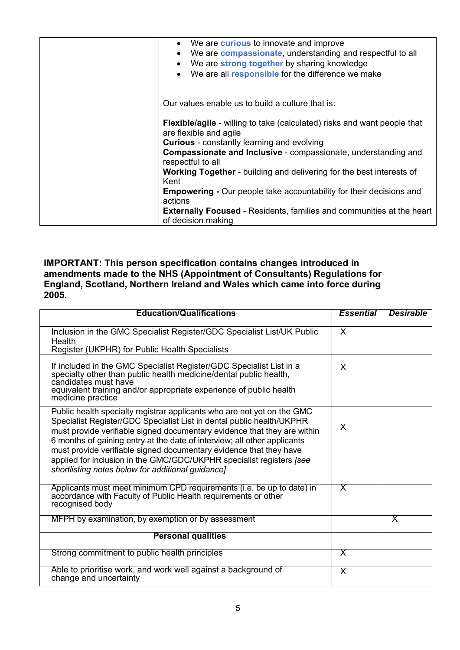| We are <b>curious</b> to innovate and improve<br>$\bullet$                          |
|-------------------------------------------------------------------------------------|
| We are compassionate, understanding and respectful to all<br>$\bullet$              |
| We are strong together by sharing knowledge                                         |
| We are all <b>responsible</b> for the difference we make<br>$\bullet$               |
|                                                                                     |
|                                                                                     |
| Our values enable us to build a culture that is:                                    |
|                                                                                     |
| <b>Flexible/agile</b> - willing to take (calculated) risks and want people that     |
| are flexible and agile                                                              |
| <b>Curious</b> - constantly learning and evolving                                   |
|                                                                                     |
| Compassionate and Inclusive - compassionate, understanding and<br>respectful to all |
|                                                                                     |
| <b>Working Together</b> - building and delivering for the best interests of         |
| Kent                                                                                |
| <b>Empowering - Our people take accountability for their decisions and</b>          |
| actions                                                                             |
| <b>Externally Focused - Residents, families and communities at the heart</b>        |
| of decision making                                                                  |
|                                                                                     |

#### **IMPORTANT: This person specification contains changes introduced in amendments made to the NHS (Appointment of Consultants) Regulations for England, Scotland, Northern Ireland and Wales which came into force during 2005.**

| <b>Education/Qualifications</b>                                                                                                                                                                                                                                                                                                                                                                                                                                                                             | <b>Essential</b>        | <b>Desirable</b> |
|-------------------------------------------------------------------------------------------------------------------------------------------------------------------------------------------------------------------------------------------------------------------------------------------------------------------------------------------------------------------------------------------------------------------------------------------------------------------------------------------------------------|-------------------------|------------------|
| Inclusion in the GMC Specialist Register/GDC Specialist List/UK Public<br>Health<br>Register (UKPHR) for Public Health Specialists                                                                                                                                                                                                                                                                                                                                                                          | X                       |                  |
| If included in the GMC Specialist Register/GDC Specialist List in a<br>specialty other than public health medicine/dental public health,<br>candidates must have<br>equivalent training and/or appropriate experience of public health<br>medicine practice                                                                                                                                                                                                                                                 | X                       |                  |
| Public health specialty registrar applicants who are not yet on the GMC<br>Specialist Register/GDC Specialist List in dental public health/UKPHR<br>must provide verifiable signed documentary evidence that they are within<br>6 months of gaining entry at the date of interview; all other applicants<br>must provide verifiable signed documentary evidence that they have<br>applied for inclusion in the GMC/GDC/UKPHR specialist registers [see<br>shortlisting notes below for additional guidance] | X                       |                  |
| Applicants must meet minimum CPD requirements (i.e. be up to date) in<br>accordance with Faculty of Public Health requirements or other<br>recognised body                                                                                                                                                                                                                                                                                                                                                  | $\overline{\mathsf{X}}$ |                  |
| MFPH by examination, by exemption or by assessment                                                                                                                                                                                                                                                                                                                                                                                                                                                          |                         | X                |
| <b>Personal qualities</b>                                                                                                                                                                                                                                                                                                                                                                                                                                                                                   |                         |                  |
| Strong commitment to public health principles                                                                                                                                                                                                                                                                                                                                                                                                                                                               | Χ                       |                  |
| Able to prioritise work, and work well against a background of<br>change and uncertainty                                                                                                                                                                                                                                                                                                                                                                                                                    | X                       |                  |